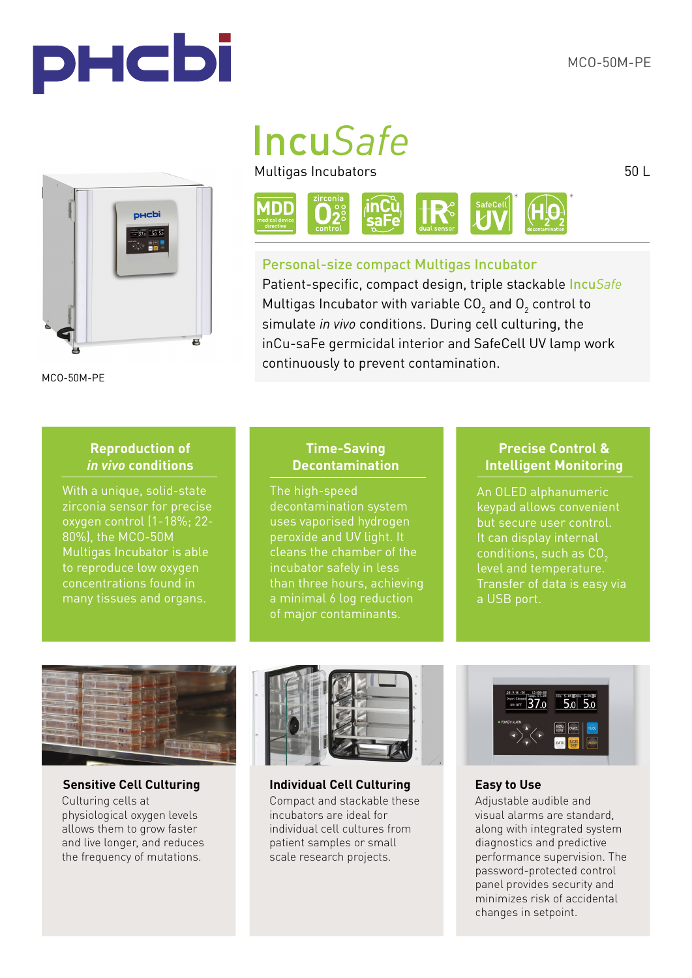



MCO-50M-PE

# Incu*Safe*

Multigas Incubators



## Personal-size compact Multigas Incubator

Patient-specific, compact design, triple stackable Incu*Safe* Multigas Incubator with variable CO<sub>2</sub> and O<sub>2</sub> control to simulate *in vivo* conditions. During cell culturing, the inCu-saFe germicidal interior and SafeCell UV lamp work continuously to prevent contamination.

## **Reproduction of**  *in vivo* **conditions**

With a unique, solid-state zirconia sensor for precise oxygen control (1-18%; 22- 80%), the MCO-50M Multigas Incubator is able to reproduce low oxygen concentrations found in many tissues and organs.

## **Time-Saving Decontamination**

The high-speed uses vaporised hydrogen peroxide and UV light. It cleans the chamber of the incubator safely in less than three hours, achieving of major contaminants.

## **Precise Control & Intelligent Monitoring**

An OLED alphanumeric keypad allows convenient but secure user control. It can display internal conditions, such as CO<sub>2</sub> level and temperature. Transfer of data is easy via a USB port.



Culturing cells at physiological oxygen levels allows them to grow faster and live longer, and reduces the frequency of mutations.



**Sensitive Cell Culturing Individual Cell Culturing** Compact and stackable these incubators are ideal for individual cell cultures from patient samples or small scale research projects.



### **Easy to Use**

Adjustable audible and visual alarms are standard, along with integrated system diagnostics and predictive performance supervision. The password-protected control panel provides security and minimizes risk of accidental changes in setpoint.

50 L